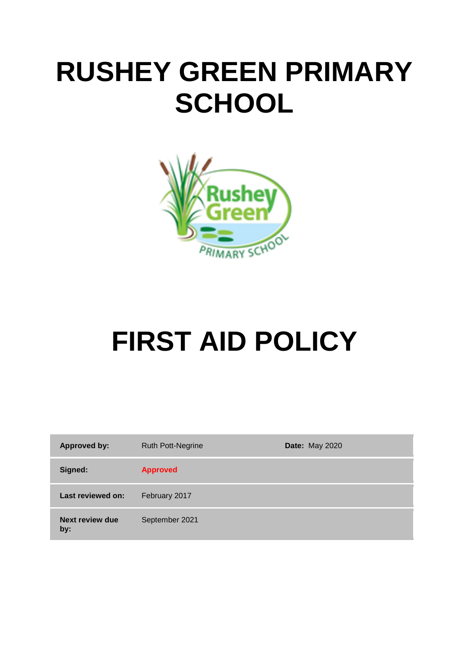# **RUSHEY GREEN PRIMARY SCHOOL**



# **FIRST AID POLICY**

| <b>Approved by:</b>           | <b>Ruth Pott-Negrine</b> | <b>Date: May 2020</b> |
|-------------------------------|--------------------------|-----------------------|
| Signed:                       | <b>Approved</b>          |                       |
| Last reviewed on:             | February 2017            |                       |
| <b>Next review due</b><br>by: | September 2021           |                       |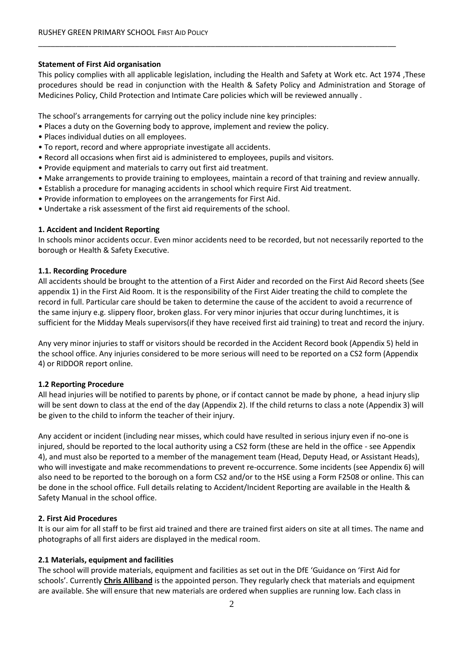#### **Statement of First Aid organisation**

This policy complies with all applicable legislation, including the Health and Safety at Work etc. Act 1974 ,These procedures should be read in conjunction with the Health & Safety Policy and Administration and Storage of Medicines Policy, Child Protection and Intimate Care policies which will be reviewed annually .

\_\_\_\_\_\_\_\_\_\_\_\_\_\_\_\_\_\_\_\_\_\_\_\_\_\_\_\_\_\_\_\_\_\_\_\_\_\_\_\_\_\_\_\_\_\_\_\_\_\_\_\_\_\_\_\_\_\_\_\_\_\_\_\_\_\_\_\_\_\_\_\_\_\_\_\_\_\_\_\_\_\_\_\_\_

The school's arrangements for carrying out the policy include nine key principles:

- Places a duty on the Governing body to approve, implement and review the policy.
- Places individual duties on all employees.
- To report, record and where appropriate investigate all accidents.
- Record all occasions when first aid is administered to employees, pupils and visitors.
- Provide equipment and materials to carry out first aid treatment.
- Make arrangements to provide training to employees, maintain a record of that training and review annually.
- Establish a procedure for managing accidents in school which require First Aid treatment.
- Provide information to employees on the arrangements for First Aid.
- Undertake a risk assessment of the first aid requirements of the school.

#### **1. Accident and Incident Reporting**

In schools minor accidents occur. Even minor accidents need to be recorded, but not necessarily reported to the borough or Health & Safety Executive.

#### **1.1. Recording Procedure**

All accidents should be brought to the attention of a First Aider and recorded on the First Aid Record sheets (See appendix 1) in the First Aid Room. It is the responsibility of the First Aider treating the child to complete the record in full. Particular care should be taken to determine the cause of the accident to avoid a recurrence of the same injury e.g. slippery floor, broken glass. For very minor injuries that occur during lunchtimes, it is sufficient for the Midday Meals supervisors(if they have received first aid training) to treat and record the injury.

Any very minor injuries to staff or visitors should be recorded in the Accident Record book (Appendix 5) held in the school office. Any injuries considered to be more serious will need to be reported on a CS2 form (Appendix 4) or RIDDOR report online.

# **1.2 Reporting Procedure**

All head injuries will be notified to parents by phone, or if contact cannot be made by phone, a head injury slip will be sent down to class at the end of the day (Appendix 2). If the child returns to class a note (Appendix 3) will be given to the child to inform the teacher of their injury.

Any accident or incident (including near misses, which could have resulted in serious injury even if no-one is injured, should be reported to the local authority using a CS2 form (these are held in the office - see Appendix 4), and must also be reported to a member of the management team (Head, Deputy Head, or Assistant Heads), who will investigate and make recommendations to prevent re-occurrence. Some incidents (see Appendix 6) will also need to be reported to the borough on a form CS2 and/or to the HSE using a Form F2508 or online. This can be done in the school office. Full details relating to Accident/Incident Reporting are available in the Health & Safety Manual in the school office.

# **2. First Aid Procedures**

It is our aim for all staff to be first aid trained and there are trained first aiders on site at all times. The name and photographs of all first aiders are displayed in the medical room.

# **2.1 Materials, equipment and facilities**

The school will provide materials, equipment and facilities as set out in the DfE 'Guidance on 'First Aid for schools'. Currently **Chris Alliband** is the appointed person. They regularly check that materials and equipment are available. She will ensure that new materials are ordered when supplies are running low. Each class in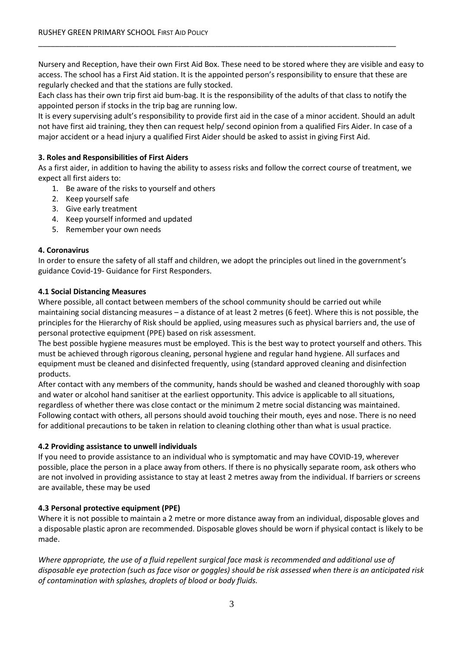Nursery and Reception, have their own First Aid Box. These need to be stored where they are visible and easy to access. The school has a First Aid station. It is the appointed person's responsibility to ensure that these are regularly checked and that the stations are fully stocked.

Each class has their own trip first aid bum-bag. It is the responsibility of the adults of that class to notify the appointed person if stocks in the trip bag are running low.

\_\_\_\_\_\_\_\_\_\_\_\_\_\_\_\_\_\_\_\_\_\_\_\_\_\_\_\_\_\_\_\_\_\_\_\_\_\_\_\_\_\_\_\_\_\_\_\_\_\_\_\_\_\_\_\_\_\_\_\_\_\_\_\_\_\_\_\_\_\_\_\_\_\_\_\_\_\_\_\_\_\_\_\_\_

It is every supervising adult's responsibility to provide first aid in the case of a minor accident. Should an adult not have first aid training, they then can request help/ second opinion from a qualified Firs Aider. In case of a major accident or a head injury a qualified First Aider should be asked to assist in giving First Aid.

#### **3. Roles and Responsibilities of First Aiders**

As a first aider, in addition to having the ability to assess risks and follow the correct course of treatment, we expect all first aiders to:

- 1. [Be aware of the risks to yourself and others](https://www.sja.org.uk/get-advice/first-aid-advice/covid-19-advice-for-first-aiders/#Advice-1)
- 2. [Keep yourself safe](https://www.sja.org.uk/get-advice/first-aid-advice/covid-19-advice-for-first-aiders/#Advice-2)
- 3. [Give early treatment](https://www.sja.org.uk/get-advice/first-aid-advice/covid-19-advice-for-first-aiders/#Advice-3)
- 4. [Keep yourself informed and updated](https://www.sja.org.uk/get-advice/first-aid-advice/covid-19-advice-for-first-aiders/#Advice-4)
- 5. [Remember your own needs](https://www.sja.org.uk/get-advice/first-aid-advice/covid-19-advice-for-first-aiders/#Advice-5)

#### **4. Coronavirus**

In order to ensure the safety of all staff and children, we adopt the principles out lined in the government's guidance Covid-19- Guidance for First Responders.

#### **4.1 Social Distancing Measures**

Where possible, all contact between members of the school community should be carried out while maintaining social distancing measures – a distance of at least 2 metres (6 feet). Where this is not possible, the principles for the Hierarchy of Risk should be applied, using measures such as physical barriers and, the use of personal protective equipment (PPE) based on risk assessment.

The best possible hygiene measures must be employed. This is the best way to protect yourself and others. This must be achieved through rigorous cleaning, personal hygiene and regular hand hygiene. All surfaces and equipment must be cleaned and disinfected frequently, using (standard approved cleaning and disinfection products.

After contact with any members of the community, hands should be washed and cleaned thoroughly with soap and water or alcohol hand sanitiser at the earliest opportunity. This advice is applicable to all situations, regardless of whether there was close contact or the minimum 2 metre social distancing was maintained. Following contact with others, all persons should avoid touching their mouth, eyes and nose. There is no need for additional precautions to be taken in relation to cleaning clothing other than what is usual practice.

#### **4.2 Providing assistance to unwell individuals**

If you need to provide assistance to an individual who is symptomatic and may have COVID-19, wherever possible, place the person in a place away from others. If there is no physically separate room, ask others who are not involved in providing assistance to stay at least 2 metres away from the individual. If barriers or screens are available, these may be used

#### **4.3 Personal protective equipment (PPE)**

Where it is not possible to maintain a 2 metre or more distance away from an individual, disposable gloves and a disposable plastic apron are recommended. Disposable gloves should be worn if physical contact is likely to be made.

*Where appropriate, the use of a fluid repellent surgical face mask is recommended and additional use of disposable eye protection (such as face visor or goggles) should be risk assessed when there is an anticipated risk of contamination with splashes, droplets of blood or body fluids.*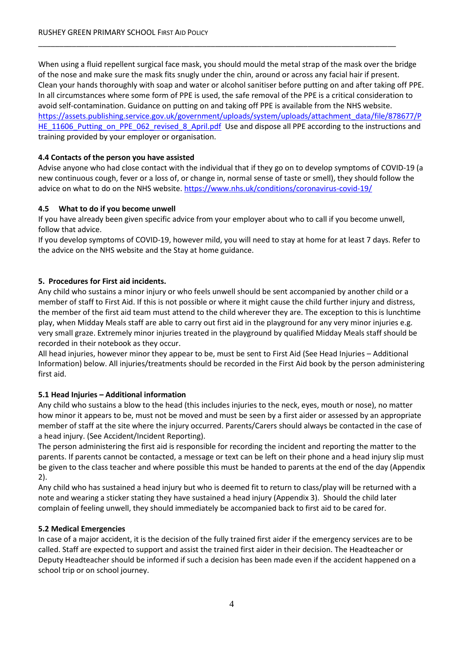When using a fluid repellent surgical face mask, you should mould the metal strap of the mask over the bridge of the nose and make sure the mask fits snugly under the chin, around or across any facial hair if present. Clean your hands thoroughly with soap and water or alcohol sanitiser before putting on and after taking off PPE. In all circumstances where some form of PPE is used, the safe removal of the PPE is a critical consideration to avoid self-contamination. Guidance on putting on and taking off PPE is available from the NHS website. [https://assets.publishing.service.gov.uk/government/uploads/system/uploads/attachment\\_data/file/878677/P](https://assets.publishing.service.gov.uk/government/uploads/system/uploads/attachment_data/file/878677/PHE_11606_Putting_on_PPE_062_revised_8_April.pdf) [HE\\_11606\\_Putting\\_on\\_PPE\\_062\\_revised\\_8\\_April.pdf](https://assets.publishing.service.gov.uk/government/uploads/system/uploads/attachment_data/file/878677/PHE_11606_Putting_on_PPE_062_revised_8_April.pdf) Use and dispose all PPE according to the instructions and training provided by your employer or organisation.

\_\_\_\_\_\_\_\_\_\_\_\_\_\_\_\_\_\_\_\_\_\_\_\_\_\_\_\_\_\_\_\_\_\_\_\_\_\_\_\_\_\_\_\_\_\_\_\_\_\_\_\_\_\_\_\_\_\_\_\_\_\_\_\_\_\_\_\_\_\_\_\_\_\_\_\_\_\_\_\_\_\_\_\_\_

# **4.4 Contacts of the person you have assisted**

Advise anyone who had close contact with the individual that if they go on to develop symptoms of COVID-19 (a new continuous cough, fever or a loss of, or change in, normal sense of taste or smell), they should follow the advice on what to do on the NHS website. <https://www.nhs.uk/conditions/coronavirus-covid-19/>

# **4.5 What to do if you become unwell**

If you have already been given specific advice from your employer about who to call if you become unwell, follow that advice.

If you develop symptoms of COVID-19, however mild, you will need to stay at home for at least 7 days. Refer to the advice on the NHS website and the Stay at home guidance.

# **5. Procedures for First aid incidents.**

Any child who sustains a minor injury or who feels unwell should be sent accompanied by another child or a member of staff to First Aid. If this is not possible or where it might cause the child further injury and distress, the member of the first aid team must attend to the child wherever they are. The exception to this is lunchtime play, when Midday Meals staff are able to carry out first aid in the playground for any very minor injuries e.g. very small graze. Extremely minor injuries treated in the playground by qualified Midday Meals staff should be recorded in their notebook as they occur.

All head injuries, however minor they appear to be, must be sent to First Aid (See Head Injuries – Additional Information) below. All injuries/treatments should be recorded in the First Aid book by the person administering first aid.

# **5.1 Head Injuries – Additional information**

Any child who sustains a blow to the head (this includes injuries to the neck, eyes, mouth or nose), no matter how minor it appears to be, must not be moved and must be seen by a first aider or assessed by an appropriate member of staff at the site where the injury occurred. Parents/Carers should always be contacted in the case of a head injury. (See Accident/Incident Reporting).

The person administering the first aid is responsible for recording the incident and reporting the matter to the parents. If parents cannot be contacted, a message or text can be left on their phone and a head injury slip must be given to the class teacher and where possible this must be handed to parents at the end of the day (Appendix 2).

Any child who has sustained a head injury but who is deemed fit to return to class/play will be returned with a note and wearing a sticker stating they have sustained a head injury (Appendix 3). Should the child later complain of feeling unwell, they should immediately be accompanied back to first aid to be cared for.

# **5.2 Medical Emergencies**

In case of a major accident, it is the decision of the fully trained first aider if the emergency services are to be called. Staff are expected to support and assist the trained first aider in their decision. The Headteacher or Deputy Headteacher should be informed if such a decision has been made even if the accident happened on a school trip or on school journey.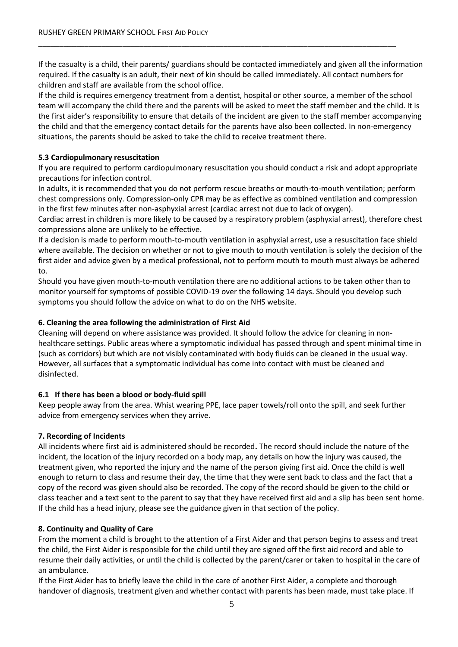If the casualty is a child, their parents/ guardians should be contacted immediately and given all the information required. If the casualty is an adult, their next of kin should be called immediately. All contact numbers for children and staff are available from the school office.

\_\_\_\_\_\_\_\_\_\_\_\_\_\_\_\_\_\_\_\_\_\_\_\_\_\_\_\_\_\_\_\_\_\_\_\_\_\_\_\_\_\_\_\_\_\_\_\_\_\_\_\_\_\_\_\_\_\_\_\_\_\_\_\_\_\_\_\_\_\_\_\_\_\_\_\_\_\_\_\_\_\_\_\_\_

If the child is requires emergency treatment from a dentist, hospital or other source, a member of the school team will accompany the child there and the parents will be asked to meet the staff member and the child. It is the first aider's responsibility to ensure that details of the incident are given to the staff member accompanying the child and that the emergency contact details for the parents have also been collected. In non-emergency situations, the parents should be asked to take the child to receive treatment there.

#### **5.3 Cardiopulmonary resuscitation**

If you are required to perform cardiopulmonary resuscitation you should conduct a risk and adopt appropriate precautions for infection control.

In adults, it is recommended that you do not perform rescue breaths or mouth-to-mouth ventilation; perform chest compressions only. Compression-only CPR may be as effective as combined ventilation and compression in the first few minutes after non-asphyxial arrest (cardiac arrest not due to lack of oxygen).

Cardiac arrest in children is more likely to be caused by a respiratory problem (asphyxial arrest), therefore chest compressions alone are unlikely to be effective.

If a decision is made to perform mouth-to-mouth ventilation in asphyxial arrest, use a resuscitation face shield where available. The decision on whether or not to give mouth to mouth ventilation is solely the decision of the first aider and advice given by a medical professional, not to perform mouth to mouth must always be adhered to.

Should you have given mouth-to-mouth ventilation there are no additional actions to be taken other than to monitor yourself for symptoms of possible COVID-19 over the following 14 days. Should you develop such symptoms you should follow the advice on what to do on the NHS website.

#### **6. Cleaning the area following the administration of First Aid**

Cleaning will depend on where assistance was provided. It should follow the advice for cleaning in nonhealthcare settings. Public areas where a symptomatic individual has passed through and spent minimal time in (such as corridors) but which are not visibly contaminated with body fluids can be cleaned in the usual way. However, all surfaces that a symptomatic individual has come into contact with must be cleaned and disinfected.

# **6.1 If there has been a blood or body-fluid spill**

Keep people away from the area. Whist wearing PPE, lace paper towels/roll onto the spill, and seek further advice from emergency services when they arrive.

# **7. Recording of Incidents**

All incidents where first aid is administered should be recorded**.** The record should include the nature of the incident, the location of the injury recorded on a body map, any details on how the injury was caused, the treatment given, who reported the injury and the name of the person giving first aid. Once the child is well enough to return to class and resume their day, the time that they were sent back to class and the fact that a copy of the record was given should also be recorded. The copy of the record should be given to the child or class teacher and a text sent to the parent to say that they have received first aid and a slip has been sent home. If the child has a head injury, please see the guidance given in that section of the policy.

# **8. Continuity and Quality of Care**

From the moment a child is brought to the attention of a First Aider and that person begins to assess and treat the child, the First Aider is responsible for the child until they are signed off the first aid record and able to resume their daily activities, or until the child is collected by the parent/carer or taken to hospital in the care of an ambulance.

If the First Aider has to briefly leave the child in the care of another First Aider, a complete and thorough handover of diagnosis, treatment given and whether contact with parents has been made, must take place. If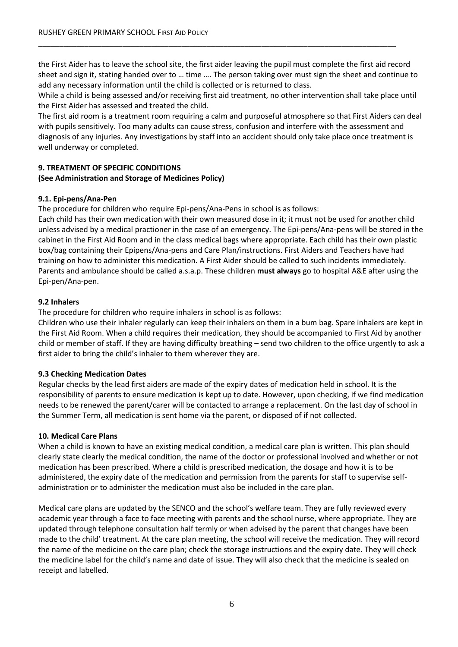the First Aider has to leave the school site, the first aider leaving the pupil must complete the first aid record sheet and sign it, stating handed over to … time …. The person taking over must sign the sheet and continue to add any necessary information until the child is collected or is returned to class.

\_\_\_\_\_\_\_\_\_\_\_\_\_\_\_\_\_\_\_\_\_\_\_\_\_\_\_\_\_\_\_\_\_\_\_\_\_\_\_\_\_\_\_\_\_\_\_\_\_\_\_\_\_\_\_\_\_\_\_\_\_\_\_\_\_\_\_\_\_\_\_\_\_\_\_\_\_\_\_\_\_\_\_\_\_

While a child is being assessed and/or receiving first aid treatment, no other intervention shall take place until the First Aider has assessed and treated the child.

The first aid room is a treatment room requiring a calm and purposeful atmosphere so that First Aiders can deal with pupils sensitively. Too many adults can cause stress, confusion and interfere with the assessment and diagnosis of any injuries. Any investigations by staff into an accident should only take place once treatment is well underway or completed.

# **9. TREATMENT OF SPECIFIC CONDITIONS**

# **(See Administration and Storage of Medicines Policy)**

# **9.1. Epi-pens/Ana-Pen**

The procedure for children who require Epi-pens/Ana-Pens in school is as follows:

Each child has their own medication with their own measured dose in it; it must not be used for another child unless advised by a medical practioner in the case of an emergency. The Epi-pens/Ana-pens will be stored in the cabinet in the First Aid Room and in the class medical bags where appropriate. Each child has their own plastic box/bag containing their Epipens/Ana-pens and Care Plan/instructions. First Aiders and Teachers have had training on how to administer this medication. A First Aider should be called to such incidents immediately. Parents and ambulance should be called a.s.a.p. These children **must always** go to hospital A&E after using the Epi-pen/Ana-pen.

#### **9.2 Inhalers**

The procedure for children who require inhalers in school is as follows:

Children who use their inhaler regularly can keep their inhalers on them in a bum bag. Spare inhalers are kept in the First Aid Room. When a child requires their medication, they should be accompanied to First Aid by another child or member of staff. If they are having difficulty breathing – send two children to the office urgently to ask a first aider to bring the child's inhaler to them wherever they are.

# **9.3 Checking Medication Dates**

Regular checks by the lead first aiders are made of the expiry dates of medication held in school. It is the responsibility of parents to ensure medication is kept up to date. However, upon checking, if we find medication needs to be renewed the parent/carer will be contacted to arrange a replacement. On the last day of school in the Summer Term, all medication is sent home via the parent, or disposed of if not collected.

# **10. Medical Care Plans**

When a child is known to have an existing medical condition, a medical care plan is written. This plan should clearly state clearly the medical condition, the name of the doctor or professional involved and whether or not medication has been prescribed. Where a child is prescribed medication, the dosage and how it is to be administered, the expiry date of the medication and permission from the parents for staff to supervise selfadministration or to administer the medication must also be included in the care plan.

Medical care plans are updated by the SENCO and the school's welfare team. They are fully reviewed every academic year through a face to face meeting with parents and the school nurse, where appropriate. They are updated through telephone consultation half termly or when advised by the parent that changes have been made to the child' treatment. At the care plan meeting, the school will receive the medication. They will record the name of the medicine on the care plan; check the storage instructions and the expiry date. They will check the medicine label for the child's name and date of issue. They will also check that the medicine is sealed on receipt and labelled.